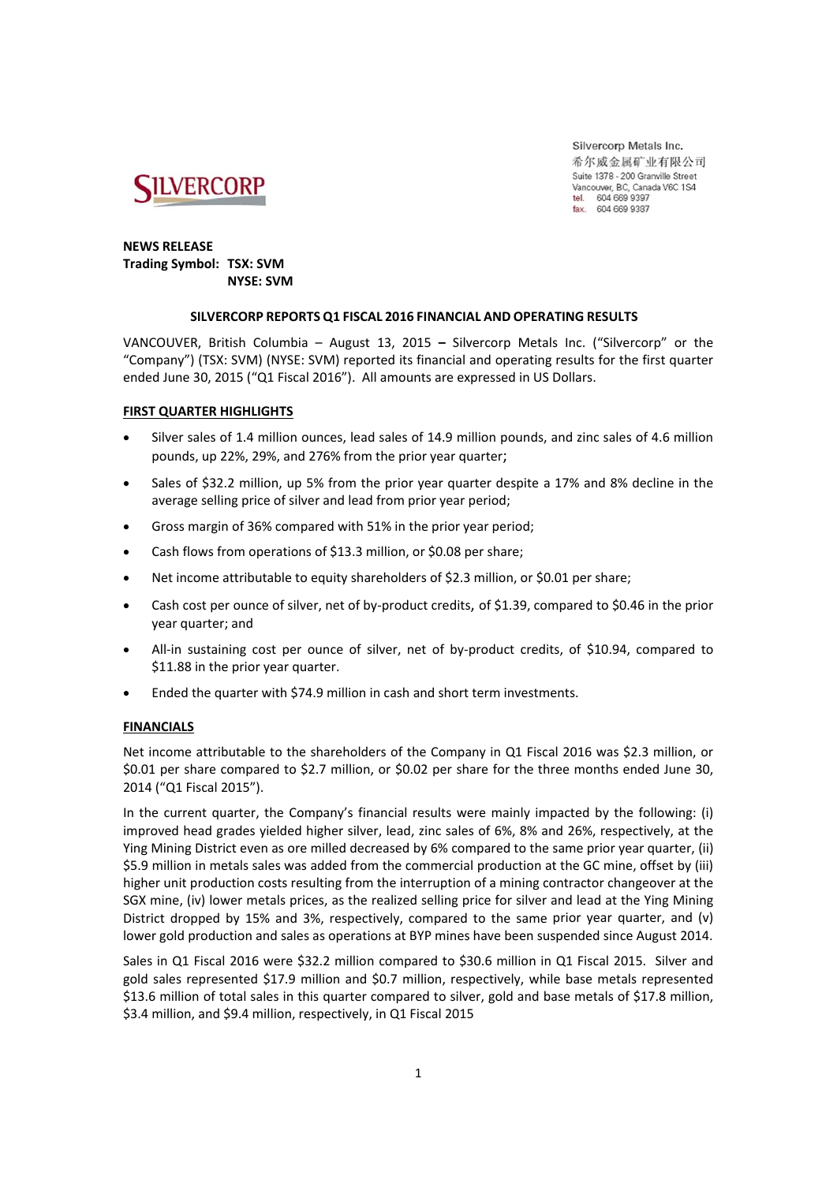

Silvercorp Metals Inc. 希尔威金属矿业有限公司 Suite 1378 - 200 Granville Street Vancouver, BC, Canada V6C 1S4 604 669 9397 tel fax. 604 669 9387

### **NEWS RELEASE Trading Symbol: TSX: SVM NYSE: SVM**

### **SILVERCORP REPORTS Q1 FISCAL 2016 FINANCIAL AND OPERATING RESULTS**

VANCOUVER, British Columbia – August 13, 2015 **–** Silvercorp Metals Inc. ("Silvercorp" or the "Company") (TSX: SVM) (NYSE: SVM) reported its financial and operating results for the first quarter ended June 30, 2015 ("Q1 Fiscal 2016"). All amounts are expressed in US Dollars.

### **FIRST QUARTER HIGHLIGHTS**

- Silver sales of 1.4 million ounces, lead sales of 14.9 million pounds, and zinc sales of 4.6 million pounds, up 22%, 29%, and 276% from the prior year quarter;
- Sales of \$32.2 million, up 5% from the prior year quarter despite a 17% and 8% decline in the average selling price of silver and lead from prior year period;
- Gross margin of 36% compared with 51% in the prior year period;
- Cash flows from operations of \$13.3 million, or \$0.08 per share;
- Net income attributable to equity shareholders of \$2.3 million, or \$0.01 per share;
- Cash cost per ounce of silver, net of by-product credits, of \$1.39, compared to \$0.46 in the prior year quarter; and
- All-in sustaining cost per ounce of silver, net of by-product credits, of \$10.94, compared to \$11.88 in the prior year quarter.
- Ended the quarter with \$74.9 million in cash and short term investments.

### **FINANCIALS**

Net income attributable to the shareholders of the Company in Q1 Fiscal 2016 was \$2.3 million, or \$0.01 per share compared to \$2.7 million, or \$0.02 per share for the three months ended June 30, 2014 ("Q1 Fiscal 2015").

In the current quarter, the Company's financial results were mainly impacted by the following: (i) improved head grades yielded higher silver, lead, zinc sales of 6%, 8% and 26%, respectively, at the Ying Mining District even as ore milled decreased by 6% compared to the same prior year quarter, (ii) \$5.9 million in metals sales was added from the commercial production at the GC mine, offset by (iii) higher unit production costs resulting from the interruption of a mining contractor changeover at the SGX mine, (iv) lower metals prices, as the realized selling price for silver and lead at the Ying Mining District dropped by 15% and 3%, respectively, compared to the same prior year quarter, and (v) lower gold production and sales as operations at BYP mines have been suspended since August 2014.

Sales in Q1 Fiscal 2016 were \$32.2 million compared to \$30.6 million in Q1 Fiscal 2015. Silver and gold sales represented \$17.9 million and \$0.7 million, respectively, while base metals represented \$13.6 million of total sales in this quarter compared to silver, gold and base metals of \$17.8 million, \$3.4 million, and \$9.4 million, respectively, in Q1 Fiscal 2015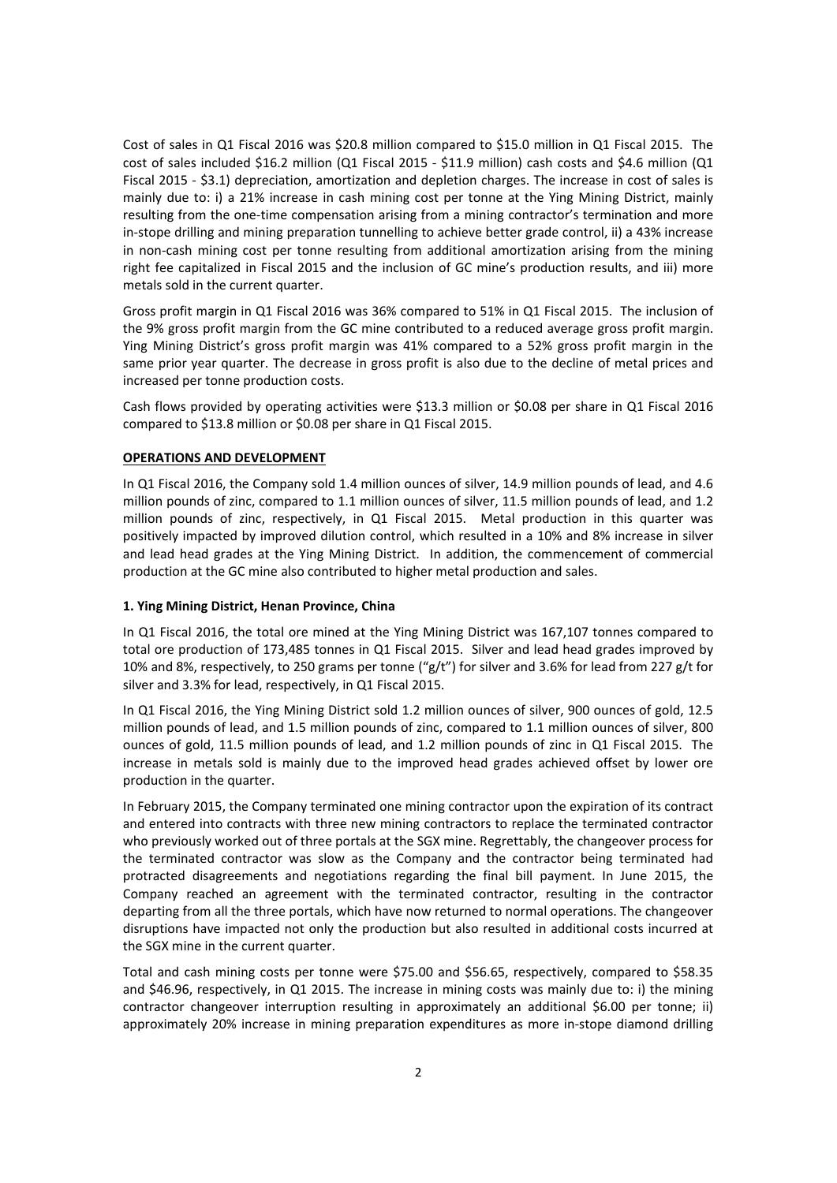Cost of sales in Q1 Fiscal 2016 was \$20.8 million compared to \$15.0 million in Q1 Fiscal 2015. The cost of sales included \$16.2 million (Q1 Fiscal 2015 ‐ \$11.9 million) cash costs and \$4.6 million (Q1 Fiscal 2015 ‐ \$3.1) depreciation, amortization and depletion charges. The increase in cost of sales is mainly due to: i) a 21% increase in cash mining cost per tonne at the Ying Mining District, mainly resulting from the one-time compensation arising from a mining contractor's termination and more in‐stope drilling and mining preparation tunnelling to achieve better grade control, ii) a 43% increase in non-cash mining cost per tonne resulting from additional amortization arising from the mining right fee capitalized in Fiscal 2015 and the inclusion of GC mine's production results, and iii) more metals sold in the current quarter.

Gross profit margin in Q1 Fiscal 2016 was 36% compared to 51% in Q1 Fiscal 2015. The inclusion of the 9% gross profit margin from the GC mine contributed to a reduced average gross profit margin. Ying Mining District's gross profit margin was 41% compared to a 52% gross profit margin in the same prior year quarter. The decrease in gross profit is also due to the decline of metal prices and increased per tonne production costs.

Cash flows provided by operating activities were \$13.3 million or \$0.08 per share in Q1 Fiscal 2016 compared to \$13.8 million or \$0.08 per share in Q1 Fiscal 2015.

### **OPERATIONS AND DEVELOPMENT**

In Q1 Fiscal 2016, the Company sold 1.4 million ounces of silver, 14.9 million pounds of lead, and 4.6 million pounds of zinc, compared to 1.1 million ounces of silver, 11.5 million pounds of lead, and 1.2 million pounds of zinc, respectively, in Q1 Fiscal 2015. Metal production in this quarter was positively impacted by improved dilution control, which resulted in a 10% and 8% increase in silver and lead head grades at the Ying Mining District. In addition, the commencement of commercial production at the GC mine also contributed to higher metal production and sales.

#### **1. Ying Mining District, Henan Province, China**

In Q1 Fiscal 2016, the total ore mined at the Ying Mining District was 167,107 tonnes compared to total ore production of 173,485 tonnes in Q1 Fiscal 2015. Silver and lead head grades improved by 10% and 8%, respectively, to 250 grams per tonne ("g/t") for silver and 3.6% for lead from 227 g/t for silver and 3.3% for lead, respectively, in Q1 Fiscal 2015.

In Q1 Fiscal 2016, the Ying Mining District sold 1.2 million ounces of silver, 900 ounces of gold, 12.5 million pounds of lead, and 1.5 million pounds of zinc, compared to 1.1 million ounces of silver, 800 ounces of gold, 11.5 million pounds of lead, and 1.2 million pounds of zinc in Q1 Fiscal 2015. The increase in metals sold is mainly due to the improved head grades achieved offset by lower ore production in the quarter.

In February 2015, the Company terminated one mining contractor upon the expiration of its contract and entered into contracts with three new mining contractors to replace the terminated contractor who previously worked out of three portals at the SGX mine. Regrettably, the changeover process for the terminated contractor was slow as the Company and the contractor being terminated had protracted disagreements and negotiations regarding the final bill payment. In June 2015, the Company reached an agreement with the terminated contractor, resulting in the contractor departing from all the three portals, which have now returned to normal operations. The changeover disruptions have impacted not only the production but also resulted in additional costs incurred at the SGX mine in the current quarter.

Total and cash mining costs per tonne were \$75.00 and \$56.65, respectively, compared to \$58.35 and \$46.96, respectively, in Q1 2015. The increase in mining costs was mainly due to: i) the mining contractor changeover interruption resulting in approximately an additional \$6.00 per tonne; ii) approximately 20% increase in mining preparation expenditures as more in‐stope diamond drilling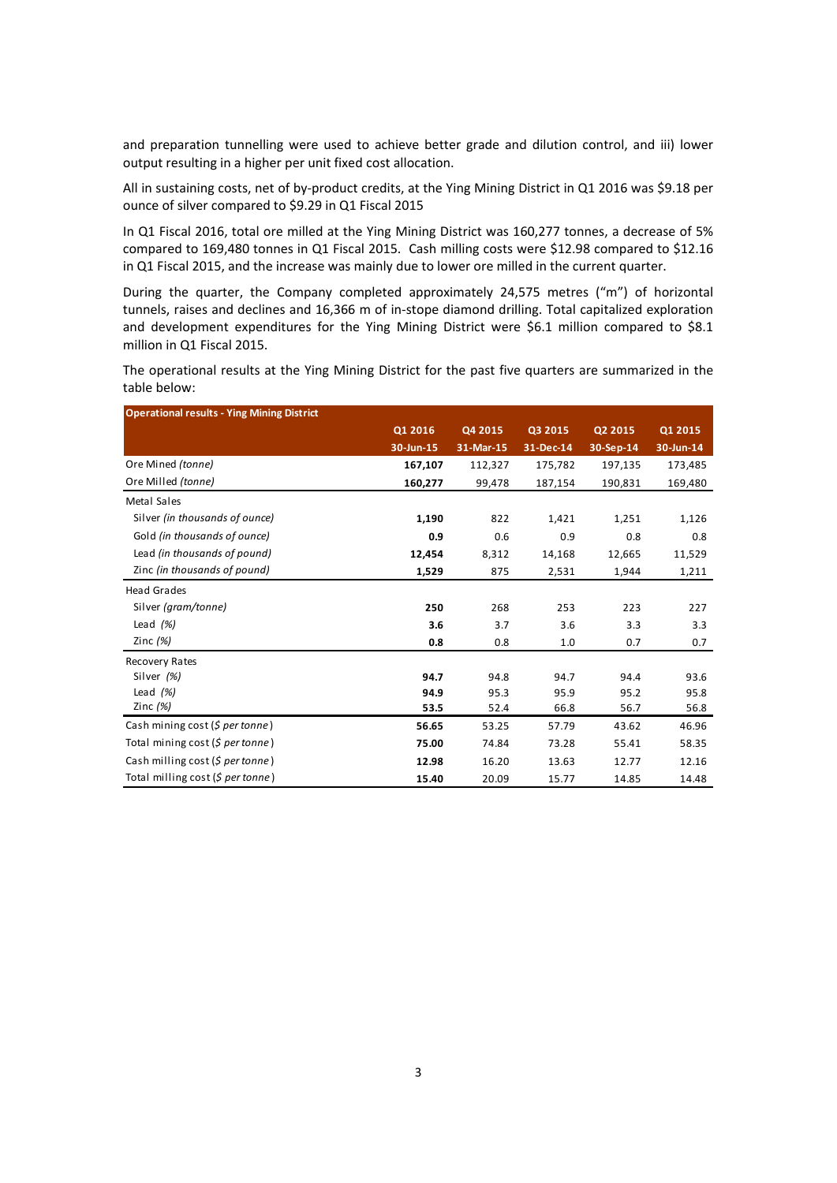and preparation tunnelling were used to achieve better grade and dilution control, and iii) lower output resulting in a higher per unit fixed cost allocation.

All in sustaining costs, net of by‐product credits, at the Ying Mining District in Q1 2016 was \$9.18 per ounce of silver compared to \$9.29 in Q1 Fiscal 2015

In Q1 Fiscal 2016, total ore milled at the Ying Mining District was 160,277 tonnes, a decrease of 5% compared to 169,480 tonnes in Q1 Fiscal 2015. Cash milling costs were \$12.98 compared to \$12.16 in Q1 Fiscal 2015, and the increase was mainly due to lower ore milled in the current quarter.

During the quarter, the Company completed approximately 24,575 metres ("m") of horizontal tunnels, raises and declines and 16,366 m of in‐stope diamond drilling. Total capitalized exploration and development expenditures for the Ying Mining District were \$6.1 million compared to \$8.1 million in Q1 Fiscal 2015.

The operational results at the Ying Mining District for the past five quarters are summarized in the table below:

| <b>Operational results - Ying Mining District</b> |           |           |           |           |           |
|---------------------------------------------------|-----------|-----------|-----------|-----------|-----------|
|                                                   | Q1 2016   | Q4 2015   | Q3 2015   | Q2 2015   | Q1 2015   |
|                                                   | 30-Jun-15 | 31-Mar-15 | 31-Dec-14 | 30-Sep-14 | 30-Jun-14 |
| Ore Mined (tonne)                                 | 167,107   | 112,327   | 175,782   | 197,135   | 173,485   |
| Ore Milled (tonne)                                | 160,277   | 99,478    | 187,154   | 190,831   | 169,480   |
| Metal Sales                                       |           |           |           |           |           |
| Silver (in thousands of ounce)                    | 1,190     | 822       | 1,421     | 1,251     | 1,126     |
| Gold (in thousands of ounce)                      | 0.9       | 0.6       | 0.9       | 0.8       | 0.8       |
| Lead (in thousands of pound)                      | 12,454    | 8,312     | 14,168    | 12,665    | 11,529    |
| Zinc (in thousands of pound)                      | 1,529     | 875       | 2,531     | 1,944     | 1,211     |
| <b>Head Grades</b>                                |           |           |           |           |           |
| Silver (gram/tonne)                               | 250       | 268       | 253       | 223       | 227       |
| Lead $(%)$                                        | 3.6       | 3.7       | 3.6       | 3.3       | 3.3       |
| Zinc $(%)$                                        | 0.8       | 0.8       | 1.0       | 0.7       | 0.7       |
| Recovery Rates                                    |           |           |           |           |           |
| Silver (%)                                        | 94.7      | 94.8      | 94.7      | 94.4      | 93.6      |
| Lead $(%)$                                        | 94.9      | 95.3      | 95.9      | 95.2      | 95.8      |
| Zinc $(%)$                                        | 53.5      | 52.4      | 66.8      | 56.7      | 56.8      |
| Cash mining cost (\$ per tonne)                   | 56.65     | 53.25     | 57.79     | 43.62     | 46.96     |
| Total mining cost (S per tonne)                   | 75.00     | 74.84     | 73.28     | 55.41     | 58.35     |
| Cash milling cost (\$ per tonne)                  | 12.98     | 16.20     | 13.63     | 12.77     | 12.16     |
| Total milling cost (\$ per tonne)                 | 15.40     | 20.09     | 15.77     | 14.85     | 14.48     |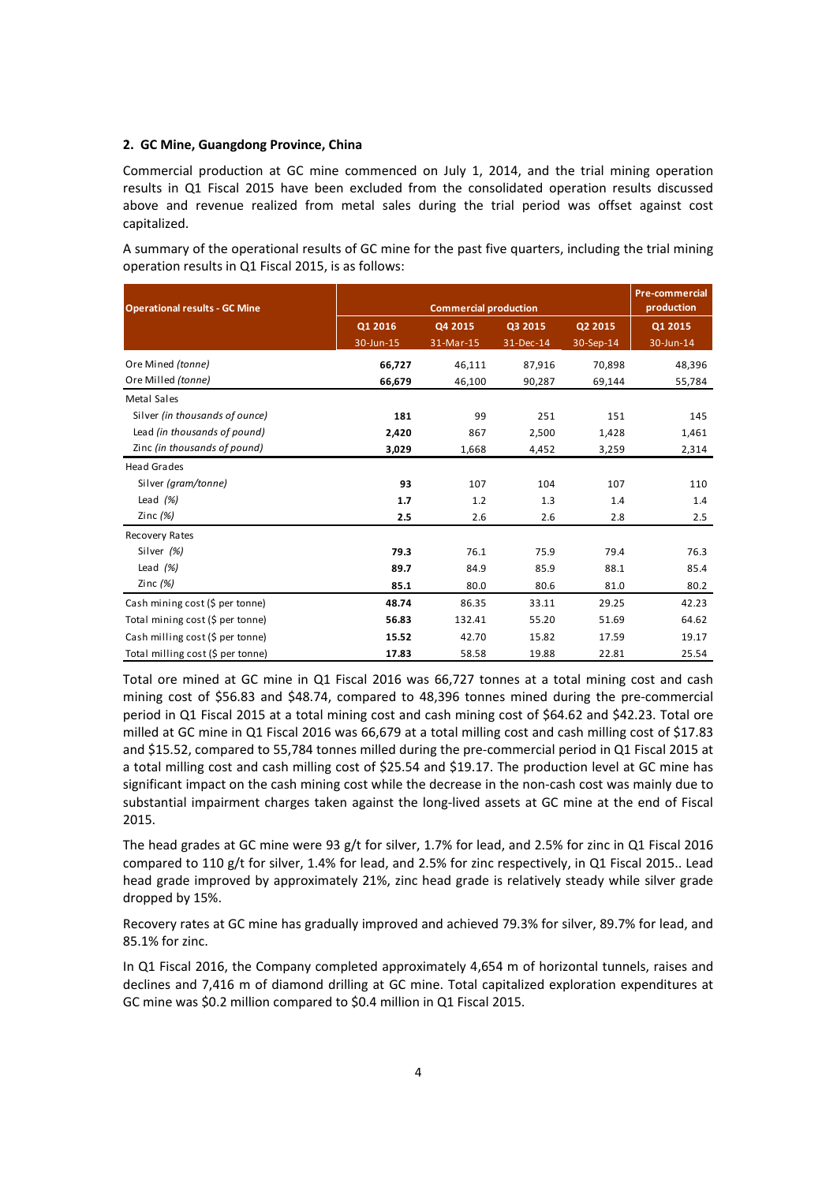#### **2. GC Mine, Guangdong Province, China**

Commercial production at GC mine commenced on July 1, 2014, and the trial mining operation results in Q1 Fiscal 2015 have been excluded from the consolidated operation results discussed above and revenue realized from metal sales during the trial period was offset against cost capitalized.

A summary of the operational results of GC mine for the past five quarters, including the trial mining operation results in Q1 Fiscal 2015, is as follows:

| <b>Operational results - GC Mine</b> |           | <b>Pre-commercial</b><br><b>Commercial production</b> |           |           |           |  |
|--------------------------------------|-----------|-------------------------------------------------------|-----------|-----------|-----------|--|
|                                      | Q1 2016   | Q4 2015                                               | Q3 2015   | Q2 2015   | Q1 2015   |  |
|                                      | 30-Jun-15 | 31-Mar-15                                             | 31-Dec-14 | 30-Sep-14 | 30-Jun-14 |  |
| Ore Mined (tonne)                    | 66,727    | 46,111                                                | 87,916    | 70,898    | 48,396    |  |
| Ore Milled (tonne)                   | 66,679    | 46,100                                                | 90,287    | 69,144    | 55,784    |  |
| Metal Sales                          |           |                                                       |           |           |           |  |
| Silver (in thousands of ounce)       | 181       | 99                                                    | 251       | 151       | 145       |  |
| Lead (in thousands of pound)         | 2,420     | 867                                                   | 2,500     | 1,428     | 1,461     |  |
| Zinc (in thousands of pound)         | 3,029     | 1,668                                                 | 4,452     | 3,259     | 2,314     |  |
| <b>Head Grades</b>                   |           |                                                       |           |           |           |  |
| Silver (gram/tonne)                  | 93        | 107                                                   | 104       | 107       | 110       |  |
| Lead $(%)$                           | 1.7       | 1.2                                                   | 1.3       | 1.4       | 1.4       |  |
| Zinc $(%)$                           | 2.5       | 2.6                                                   | 2.6       | 2.8       | 2.5       |  |
| Recovery Rates                       |           |                                                       |           |           |           |  |
| Silver (%)                           | 79.3      | 76.1                                                  | 75.9      | 79.4      | 76.3      |  |
| Lead $(%)$                           | 89.7      | 84.9                                                  | 85.9      | 88.1      | 85.4      |  |
| Zinc $(%)$                           | 85.1      | 80.0                                                  | 80.6      | 81.0      | 80.2      |  |
| Cash mining cost (\$ per tonne)      | 48.74     | 86.35                                                 | 33.11     | 29.25     | 42.23     |  |
| Total mining cost (\$ per tonne)     | 56.83     | 132.41                                                | 55.20     | 51.69     | 64.62     |  |
| Cash milling cost (\$ per tonne)     | 15.52     | 42.70                                                 | 15.82     | 17.59     | 19.17     |  |
| Total milling cost (\$ per tonne)    | 17.83     | 58.58                                                 | 19.88     | 22.81     | 25.54     |  |

Total ore mined at GC mine in Q1 Fiscal 2016 was 66,727 tonnes at a total mining cost and cash mining cost of \$56.83 and \$48.74, compared to 48,396 tonnes mined during the pre‐commercial period in Q1 Fiscal 2015 at a total mining cost and cash mining cost of \$64.62 and \$42.23. Total ore milled at GC mine in Q1 Fiscal 2016 was 66,679 at a total milling cost and cash milling cost of \$17.83 and \$15.52, compared to 55,784 tonnes milled during the pre‐commercial period in Q1 Fiscal 2015 at a total milling cost and cash milling cost of \$25.54 and \$19.17. The production level at GC mine has significant impact on the cash mining cost while the decrease in the non-cash cost was mainly due to substantial impairment charges taken against the long-lived assets at GC mine at the end of Fiscal 2015.

The head grades at GC mine were 93 g/t for silver, 1.7% for lead, and 2.5% for zinc in Q1 Fiscal 2016 compared to 110 g/t for silver, 1.4% for lead, and 2.5% for zinc respectively, in Q1 Fiscal 2015.. Lead head grade improved by approximately 21%, zinc head grade is relatively steady while silver grade dropped by 15%.

Recovery rates at GC mine has gradually improved and achieved 79.3% for silver, 89.7% for lead, and 85.1% for zinc.

In Q1 Fiscal 2016, the Company completed approximately 4,654 m of horizontal tunnels, raises and declines and 7,416 m of diamond drilling at GC mine. Total capitalized exploration expenditures at GC mine was \$0.2 million compared to \$0.4 million in Q1 Fiscal 2015.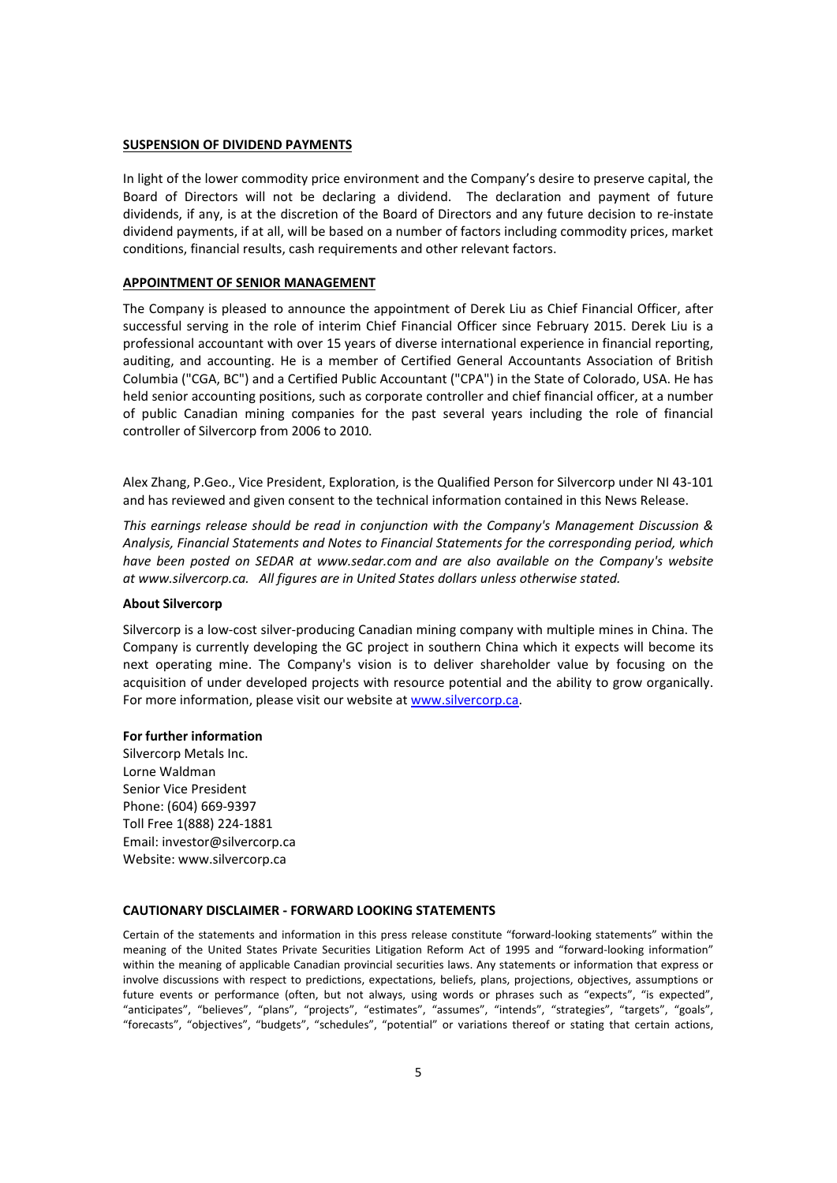### **SUSPENSION OF DIVIDEND PAYMENTS**

In light of the lower commodity price environment and the Company's desire to preserve capital, the Board of Directors will not be declaring a dividend. The declaration and payment of future dividends, if any, is at the discretion of the Board of Directors and any future decision to re‐instate dividend payments, if at all, will be based on a number of factors including commodity prices, market conditions, financial results, cash requirements and other relevant factors.

#### **APPOINTMENT OF SENIOR MANAGEMENT**

The Company is pleased to announce the appointment of Derek Liu as Chief Financial Officer, after successful serving in the role of interim Chief Financial Officer since February 2015. Derek Liu is a professional accountant with over 15 years of diverse international experience in financial reporting, auditing, and accounting. He is a member of Certified General Accountants Association of British Columbia ("CGA, BC") and a Certified Public Accountant ("CPA") in the State of Colorado, USA. He has held senior accounting positions, such as corporate controller and chief financial officer, at a number of public Canadian mining companies for the past several years including the role of financial controller of Silvercorp from 2006 to 2010.

Alex Zhang, P.Geo., Vice President, Exploration, is the Qualified Person for Silvercorp under NI 43‐101 and has reviewed and given consent to the technical information contained in this News Release.

*This earnings release should be read in conjunction with the Company's Management Discussion & Analysis, Financial Statements and Notes to Financial Statements for the corresponding period, which have been posted on SEDAR at www.sedar.com and are also available on the Company's website at www.silvercorp.ca. All figures are in United States dollars unless otherwise stated.*

#### **About Silvercorp**

Silvercorp is a low‐cost silver‐producing Canadian mining company with multiple mines in China. The Company is currently developing the GC project in southern China which it expects will become its next operating mine. The Company's vision is to deliver shareholder value by focusing on the acquisition of under developed projects with resource potential and the ability to grow organically. For more information, please visit our website at www.silvercorp.ca.

#### **For further information**

Silvercorp Metals Inc. Lorne Waldman Senior Vice President Phone: (604) 669‐9397 Toll Free 1(888) 224‐1881 Email: investor@silvercorp.ca Website: www.silvercorp.ca

#### **CAUTIONARY DISCLAIMER ‐ FORWARD LOOKING STATEMENTS**

Certain of the statements and information in this press release constitute "forward‐looking statements" within the meaning of the United States Private Securities Litigation Reform Act of 1995 and "forward-looking information" within the meaning of applicable Canadian provincial securities laws. Any statements or information that express or involve discussions with respect to predictions, expectations, beliefs, plans, projections, objectives, assumptions or future events or performance (often, but not always, using words or phrases such as "expects", "is expected", "anticipates", "believes", "plans", "projects", "estimates", "assumes", "intends", "strategies", "targets", "goals", "forecasts", "objectives", "budgets", "schedules", "potential" or variations thereof or stating that certain actions,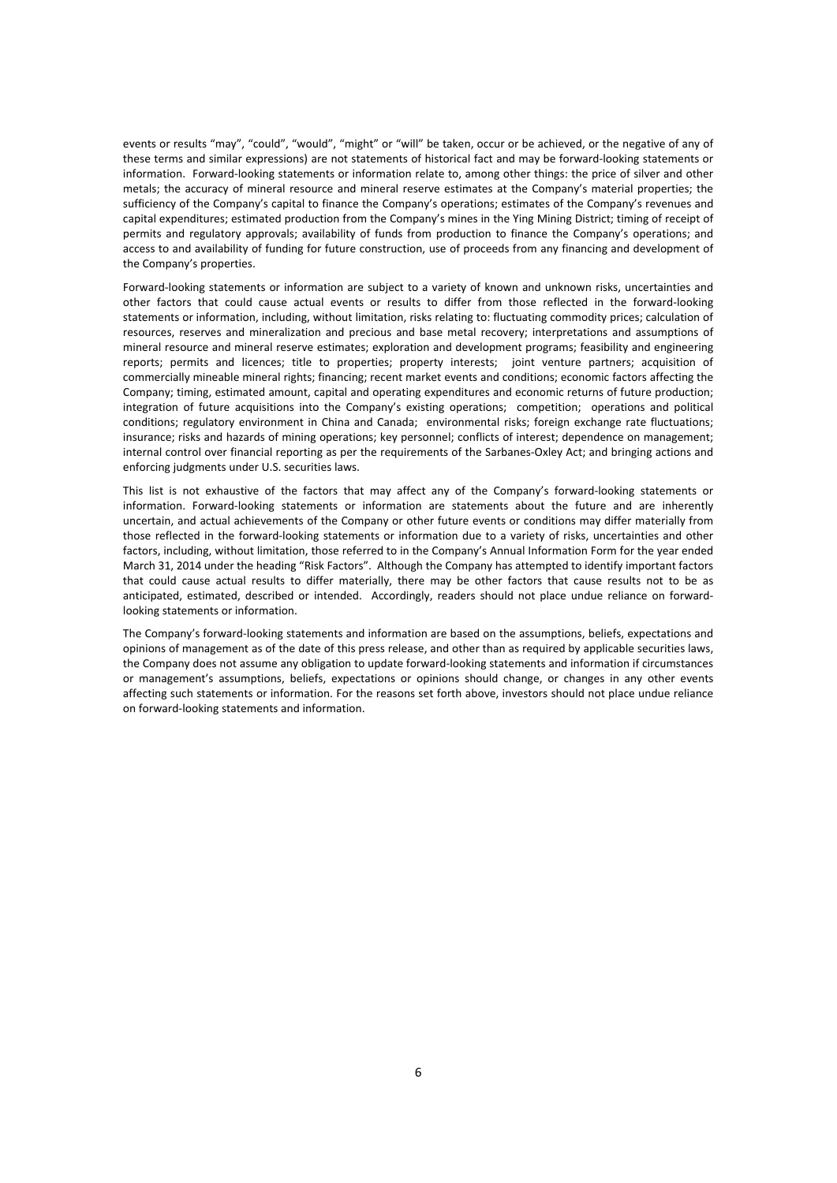events or results "may", "could", "would", "might" or "will" be taken, occur or be achieved, or the negative of any of these terms and similar expressions) are not statements of historical fact and may be forward‐looking statements or information. Forward‐looking statements or information relate to, among other things: the price of silver and other metals; the accuracy of mineral resource and mineral reserve estimates at the Company's material properties; the sufficiency of the Company's capital to finance the Company's operations; estimates of the Company's revenues and capital expenditures; estimated production from the Company's mines in the Ying Mining District; timing of receipt of permits and regulatory approvals; availability of funds from production to finance the Company's operations; and access to and availability of funding for future construction, use of proceeds from any financing and development of the Company's properties.

Forward‐looking statements or information are subject to a variety of known and unknown risks, uncertainties and other factors that could cause actual events or results to differ from those reflected in the forward‐looking statements or information, including, without limitation, risks relating to: fluctuating commodity prices; calculation of resources, reserves and mineralization and precious and base metal recovery; interpretations and assumptions of mineral resource and mineral reserve estimates; exploration and development programs; feasibility and engineering reports; permits and licences; title to properties; property interests; joint venture partners; acquisition of commercially mineable mineral rights; financing; recent market events and conditions; economic factors affecting the Company; timing, estimated amount, capital and operating expenditures and economic returns of future production; integration of future acquisitions into the Company's existing operations; competition; operations and political conditions; regulatory environment in China and Canada; environmental risks; foreign exchange rate fluctuations; insurance; risks and hazards of mining operations; key personnel; conflicts of interest; dependence on management; internal control over financial reporting as per the requirements of the Sarbanes‐Oxley Act; and bringing actions and enforcing judgments under U.S. securities laws.

This list is not exhaustive of the factors that may affect any of the Company's forward‐looking statements or information. Forward-looking statements or information are statements about the future and are inherently uncertain, and actual achievements of the Company or other future events or conditions may differ materially from those reflected in the forward‐looking statements or information due to a variety of risks, uncertainties and other factors, including, without limitation, those referred to in the Company's Annual Information Form for the year ended March 31, 2014 under the heading "Risk Factors". Although the Company has attempted to identify important factors that could cause actual results to differ materially, there may be other factors that cause results not to be as anticipated, estimated, described or intended. Accordingly, readers should not place undue reliance on forwardlooking statements or information.

The Company's forward-looking statements and information are based on the assumptions, beliefs, expectations and opinions of management as of the date of this press release, and other than as required by applicable securities laws, the Company does not assume any obligation to update forward‐looking statements and information if circumstances or management's assumptions, beliefs, expectations or opinions should change, or changes in any other events affecting such statements or information. For the reasons set forth above, investors should not place undue reliance on forward‐looking statements and information.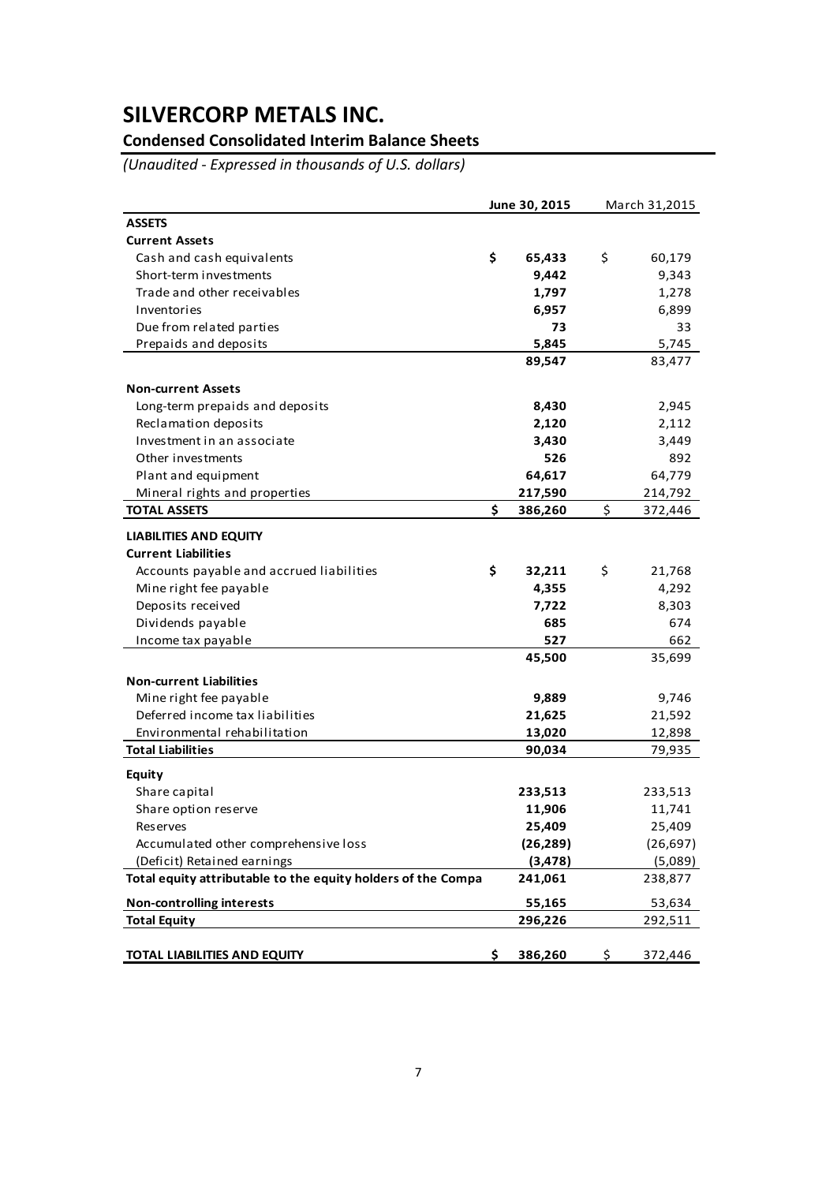## **Condensed Consolidated Interim Balance Sheets**

*(Unaudited ‐ Expressed in thousands of U.S. dollars)*

|                                                              | June 30, 2015 |           | March 31,2015 |           |
|--------------------------------------------------------------|---------------|-----------|---------------|-----------|
| <b>ASSETS</b>                                                |               |           |               |           |
| <b>Current Assets</b>                                        |               |           |               |           |
| Cash and cash equivalents                                    | \$            | 65,433    | \$            | 60,179    |
| Short-term investments                                       |               | 9,442     |               | 9,343     |
| Trade and other receivables                                  |               | 1,797     |               | 1,278     |
| Inventories                                                  |               | 6,957     |               | 6,899     |
| Due from related parties                                     |               | 73        |               | 33        |
| Prepaids and deposits                                        |               | 5,845     |               | 5,745     |
|                                                              |               | 89,547    |               | 83,477    |
| <b>Non-current Assets</b>                                    |               |           |               |           |
| Long-term prepaids and deposits                              |               | 8,430     |               | 2,945     |
| Reclamation deposits                                         |               | 2,120     |               | 2,112     |
| Investment in an associate                                   |               | 3,430     |               | 3,449     |
| Other investments                                            |               | 526       |               | 892       |
| Plant and equipment                                          |               | 64,617    |               | 64,779    |
| Mineral rights and properties                                |               | 217,590   |               | 214,792   |
| <b>TOTAL ASSETS</b>                                          | \$            | 386,260   | \$            | 372,446   |
| <b>LIABILITIES AND EQUITY</b>                                |               |           |               |           |
| <b>Current Liabilities</b>                                   |               |           |               |           |
| Accounts payable and accrued liabilities                     | \$            | 32,211    | \$            | 21,768    |
| Mine right fee payable                                       |               | 4,355     |               | 4,292     |
| Deposits received                                            |               | 7,722     |               | 8,303     |
| Dividends payable                                            |               | 685       |               | 674       |
| Income tax payable                                           |               | 527       |               | 662       |
|                                                              |               | 45,500    |               | 35,699    |
| <b>Non-current Liabilities</b>                               |               |           |               |           |
| Mine right fee payable                                       |               | 9,889     |               | 9,746     |
| Deferred income tax liabilities                              |               | 21,625    |               | 21,592    |
| Environmental rehabilitation                                 |               | 13,020    |               | 12,898    |
| <b>Total Liabilities</b>                                     |               | 90,034    |               | 79,935    |
| <b>Equity</b>                                                |               |           |               |           |
| Share capital                                                |               | 233,513   |               | 233,513   |
| Share option reserve                                         |               | 11,906    |               | 11,741    |
| Reserves                                                     |               | 25,409    |               | 25,409    |
| Accumulated other comprehensive loss                         |               | (26, 289) |               | (26, 697) |
| (Deficit) Retained earnings                                  |               | (3, 478)  |               | (5,089)   |
| Total equity attributable to the equity holders of the Compa |               | 241,061   |               | 238,877   |
| <b>Non-controlling interests</b>                             |               | 55,165    |               | 53,634    |
| <b>Total Equity</b>                                          |               | 296,226   |               | 292,511   |
|                                                              |               |           |               |           |
| <b>TOTAL LIABILITIES AND EQUITY</b>                          | \$            | 386,260   | \$            | 372,446   |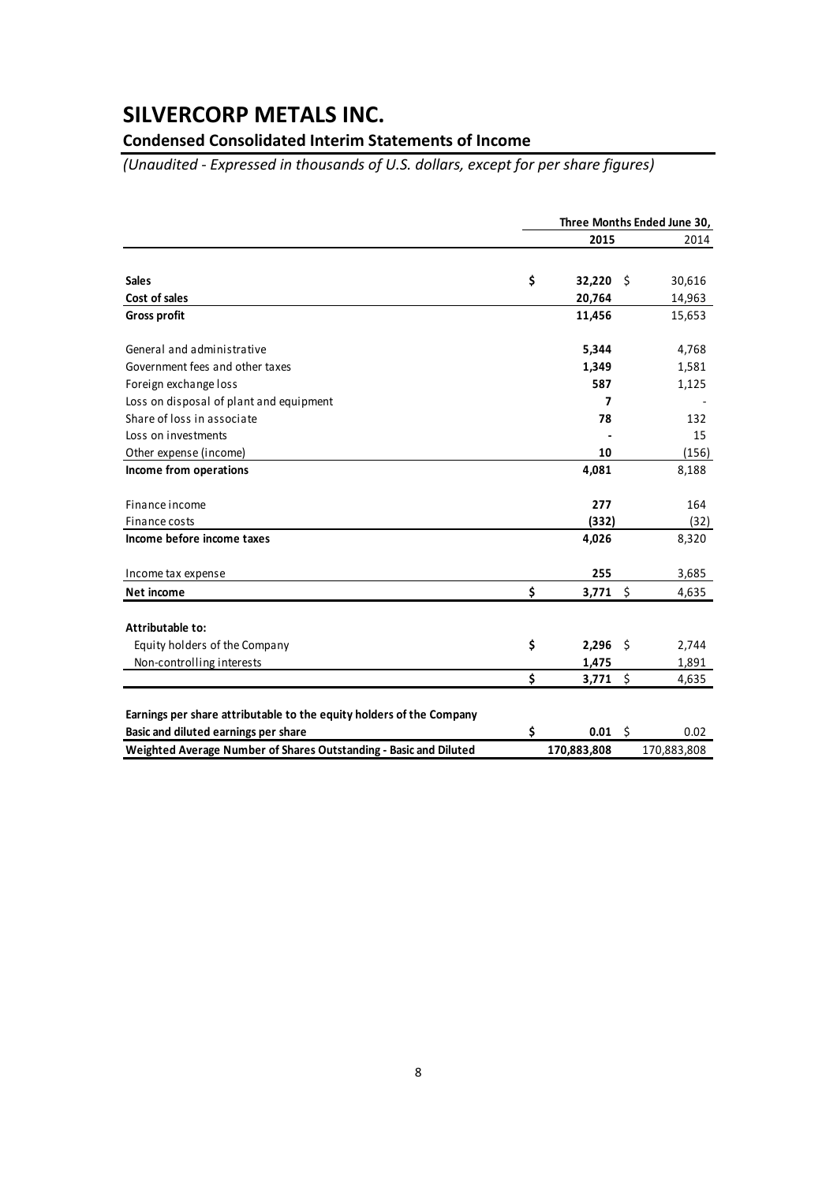### **Condensed Consolidated Interim Statements of Income**

*(Unaudited ‐ Expressed in thousands of U.S. dollars, except for per share figures)*

|                                                                      | Three Months Ended June 30, |             |      |             |
|----------------------------------------------------------------------|-----------------------------|-------------|------|-------------|
|                                                                      |                             | 2015        |      | 2014        |
|                                                                      |                             |             |      |             |
| <b>Sales</b>                                                         | \$                          | 32,220      | -\$  | 30,616      |
| Cost of sales                                                        |                             | 20,764      |      | 14,963      |
| <b>Gross profit</b>                                                  |                             | 11,456      |      | 15,653      |
| General and administrative                                           |                             | 5,344       |      | 4,768       |
| Government fees and other taxes                                      |                             | 1,349       |      | 1,581       |
| Foreign exchange loss                                                |                             | 587         |      | 1,125       |
| Loss on disposal of plant and equipment                              |                             | 7           |      |             |
| Share of loss in associate                                           |                             | 78          |      | 132         |
| Loss on investments                                                  |                             |             |      | 15          |
| Other expense (income)                                               |                             | 10          |      | (156)       |
| Income from operations                                               |                             | 4,081       |      | 8,188       |
| Finance income                                                       |                             | 277         |      | 164         |
| Finance costs                                                        |                             | (332)       |      | (32)        |
| Income before income taxes                                           |                             | 4,026       |      | 8,320       |
| Income tax expense                                                   |                             | 255         |      | 3,685       |
| Net income                                                           | \$                          | 3,771       | - \$ | 4,635       |
| Attributable to:                                                     |                             |             |      |             |
| Equity holders of the Company                                        | \$                          | 2,296       | -\$  | 2,744       |
| Non-controlling interests                                            |                             | 1,475       |      | 1,891       |
|                                                                      | \$                          | 3,771       | \$   | 4,635       |
| Earnings per share attributable to the equity holders of the Company |                             |             |      |             |
| Basic and diluted earnings per share                                 | \$                          | 0.01        | - \$ | 0.02        |
| Weighted Average Number of Shares Outstanding - Basic and Diluted    |                             | 170,883,808 |      | 170,883,808 |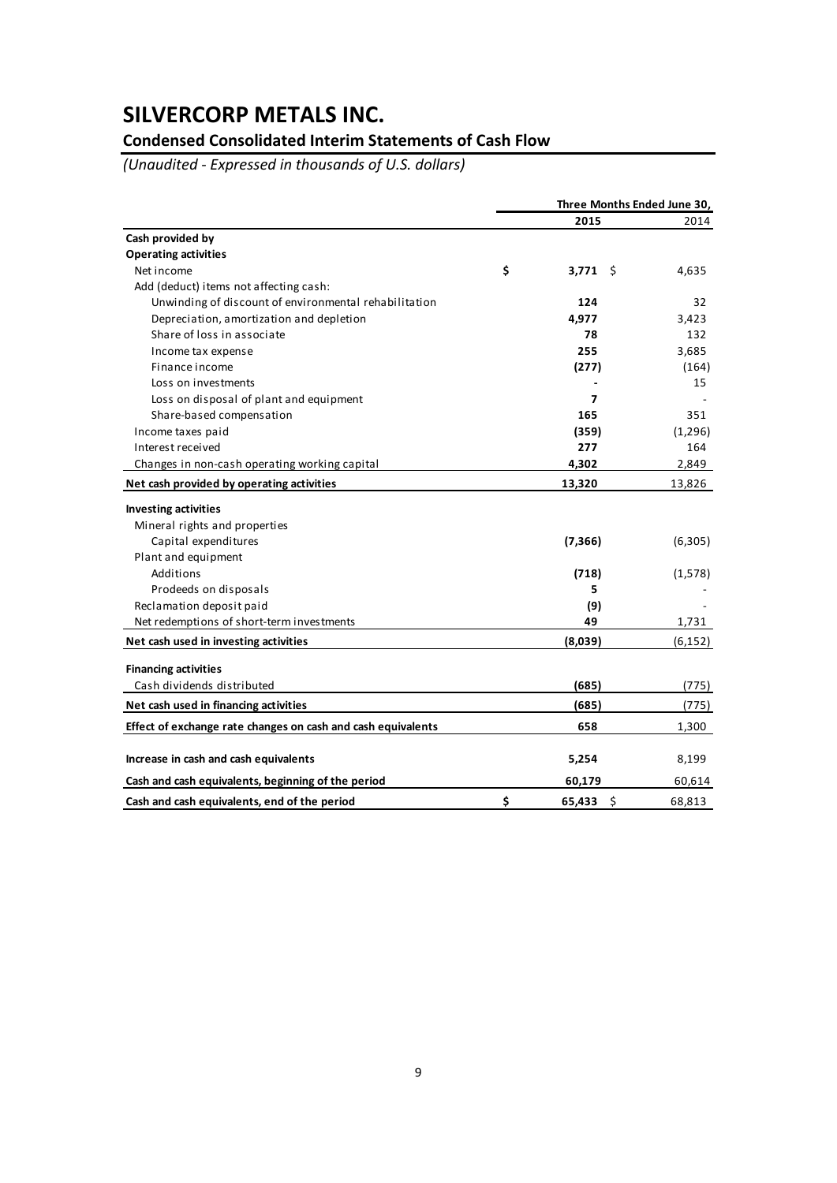## **Condensed Consolidated Interim Statements of Cash Flow**

*(Unaudited ‐ Expressed in thousands of U.S. dollars)*

|                                                              | Three Months Ended June 30, |          |  |
|--------------------------------------------------------------|-----------------------------|----------|--|
|                                                              | 2015                        | 2014     |  |
| Cash provided by                                             |                             |          |  |
| <b>Operating activities</b>                                  |                             |          |  |
| Net income                                                   | \$<br>3,771<br>- \$         | 4,635    |  |
| Add (deduct) items not affecting cash:                       |                             |          |  |
| Unwinding of discount of environmental rehabilitation        | 124                         | 32       |  |
| Depreciation, amortization and depletion                     | 4,977                       | 3,423    |  |
| Share of loss in associate                                   | 78                          | 132      |  |
| Income tax expense                                           | 255                         | 3,685    |  |
| Finance income                                               | (277)                       | (164)    |  |
| Loss on investments                                          |                             | 15       |  |
| Loss on disposal of plant and equipment                      | 7                           |          |  |
| Share-based compensation                                     | 165                         | 351      |  |
| Income taxes paid                                            | (359)                       | (1,296)  |  |
| Interest received                                            | 277                         | 164      |  |
| Changes in non-cash operating working capital                | 4,302                       | 2,849    |  |
| Net cash provided by operating activities                    | 13,320                      | 13,826   |  |
| <b>Investing activities</b>                                  |                             |          |  |
| Mineral rights and properties                                |                             |          |  |
| Capital expenditures                                         | (7, 366)                    | (6, 305) |  |
| Plant and equipment                                          |                             |          |  |
| Additions                                                    | (718)                       | (1,578)  |  |
| Prodeeds on disposals                                        | 5                           |          |  |
| Reclamation deposit paid                                     | (9)                         |          |  |
| Net redemptions of short-term investments                    | 49                          | 1,731    |  |
| Net cash used in investing activities                        | (8,039)                     | (6, 152) |  |
| <b>Financing activities</b>                                  |                             |          |  |
| Cash dividends distributed                                   | (685)                       | (775)    |  |
| Net cash used in financing activities                        | (685)                       | (775)    |  |
| Effect of exchange rate changes on cash and cash equivalents | 658                         | 1,300    |  |
| Increase in cash and cash equivalents                        | 5,254                       | 8,199    |  |
| Cash and cash equivalents, beginning of the period           | 60,179                      | 60,614   |  |
| Cash and cash equivalents, end of the period                 | \$<br>65,433<br>-\$         | 68,813   |  |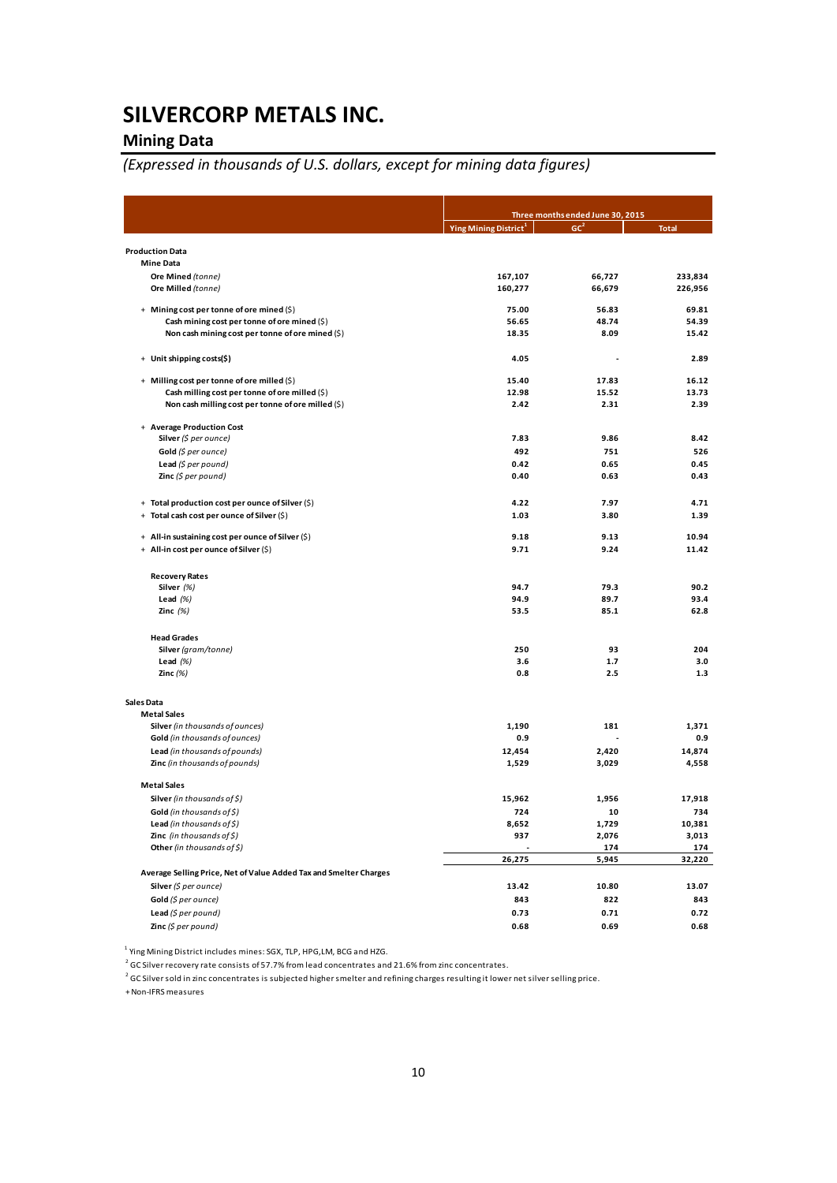## **Mining Data**

## *(Expressed in thousands of U.S. dollars, except for mining data figures)*

|                                                                   |                                   | Three months ended June 30, 2015 |                 |  |  |
|-------------------------------------------------------------------|-----------------------------------|----------------------------------|-----------------|--|--|
|                                                                   | Ying Mining District <sup>1</sup> | GC <sup>2</sup>                  | <b>Total</b>    |  |  |
| <b>Production Data</b>                                            |                                   |                                  |                 |  |  |
| <b>Mine Data</b>                                                  |                                   |                                  |                 |  |  |
| Ore Mined (tonne)                                                 | 167,107                           | 66,727                           | 233,834         |  |  |
| Ore Milled (tonne)                                                | 160,277                           | 66,679                           | 226,956         |  |  |
|                                                                   |                                   |                                  |                 |  |  |
| + Mining cost per tonne of ore mined (\$)                         | 75.00                             | 56.83                            | 69.81           |  |  |
| Cash mining cost per tonne of ore mined (\$)                      | 56.65                             | 48.74                            | 54.39           |  |  |
| Non cash mining cost per tonne of ore mined (\$)                  | 18.35                             | 8.09                             | 15.42           |  |  |
| + Unit shipping costs(\$)                                         | 4.05                              |                                  | 2.89            |  |  |
| + Milling cost per tonne of ore milled (\$)                       | 15.40                             | 17.83                            | 16.12           |  |  |
| Cash milling cost per tonne of ore milled (\$)                    | 12.98                             | 15.52                            | 13.73           |  |  |
| Non cash milling cost per tonne of ore milled (\$)                | 2.42                              | 2.31                             | 2.39            |  |  |
| + Average Production Cost                                         |                                   |                                  |                 |  |  |
| Silver (\$ per ounce)                                             | 7.83                              | 9.86                             | 8.42            |  |  |
| Gold (\$ per ounce)                                               | 492                               | 751                              | 526             |  |  |
| Lead (\$ per pound)                                               | 0.42                              | 0.65                             | 0.45            |  |  |
| <b>Zinc</b> (\$ per pound)                                        | 0.40                              | 0.63                             | 0.43            |  |  |
| + Total production cost per ounce of Silver (\$)                  | 4.22                              | 7.97                             | 4.71            |  |  |
| + Total cash cost per ounce of Silver (\$)                        | 1.03                              | 3.80                             | 1.39            |  |  |
|                                                                   |                                   |                                  |                 |  |  |
| + All-in sustaining cost per ounce of Silver (\$)                 | 9.18                              | 9.13                             | 10.94           |  |  |
| + All-in cost per ounce of Silver (\$)                            | 9.71                              | 9.24                             | 11.42           |  |  |
| <b>Recovery Rates</b>                                             |                                   |                                  |                 |  |  |
| Silver (%)                                                        | 94.7                              | 79.3                             | 90.2            |  |  |
| Lead $(%)$                                                        | 94.9                              | 89.7                             | 93.4            |  |  |
| Zinc $(%)$                                                        | 53.5                              | 85.1                             | 62.8            |  |  |
| <b>Head Grades</b>                                                |                                   |                                  |                 |  |  |
| Silver (gram/tonne)                                               | 250                               | 93                               | 204             |  |  |
| Lead $(%)$                                                        | 3.6                               | 1.7                              | 3.0             |  |  |
| Zinc $(\%)$                                                       | 0.8                               | 2.5                              | 1.3             |  |  |
| Sales Data                                                        |                                   |                                  |                 |  |  |
| <b>Metal Sales</b>                                                |                                   |                                  |                 |  |  |
| Silver (in thousands of ounces)                                   | 1,190<br>0.9                      | 181                              | 1,371<br>0.9    |  |  |
| Gold (in thousands of ounces)                                     |                                   |                                  |                 |  |  |
| Lead (in thousands of pounds)<br>Zinc (in thousands of pounds)    | 12,454<br>1,529                   | 2,420<br>3,029                   | 14,874<br>4,558 |  |  |
| <b>Metal Sales</b>                                                |                                   |                                  |                 |  |  |
| Silver (in thousands of \$)                                       | 15,962                            | 1,956                            | 17,918          |  |  |
| Gold (in thousands of \$)                                         | 724                               | 10                               | 734             |  |  |
| <b>Lead</b> (in thousands of $\zeta$ )                            | 8,652                             | 1,729                            | 10,381          |  |  |
| Zinc (in thousands of \$)                                         | 937                               | 2,076                            | 3,013           |  |  |
| Other (in thousands of \$)                                        |                                   | 174                              | 174             |  |  |
|                                                                   | 26,275                            | 5,945                            | 32,220          |  |  |
| Average Selling Price, Net of Value Added Tax and Smelter Charges |                                   |                                  |                 |  |  |
| Silver (\$ per ounce)                                             | 13.42                             | 10.80                            | 13.07           |  |  |
| Gold (\$ per ounce)                                               | 843                               | 822                              | 843             |  |  |
| Lead (\$ per pound)                                               | 0.73                              | 0.71                             | 0.72            |  |  |
| Zinc (\$ per pound)                                               | 0.68                              | 0.69                             | 0.68            |  |  |

<sup>1</sup> Ying Mining District includes mines: SGX, TLP, HPG, LM, BCG and HZG.

<sup>2</sup> GC Silver recovery rate consists of 57.7% from lead concentrates and 21.6% from zinc concentrates.

 $2$  GC Silver sold in zinc concentrates is subjected higher smelter and refining charges resulting it lower net silver selling price.

+Non‐IFRS measures